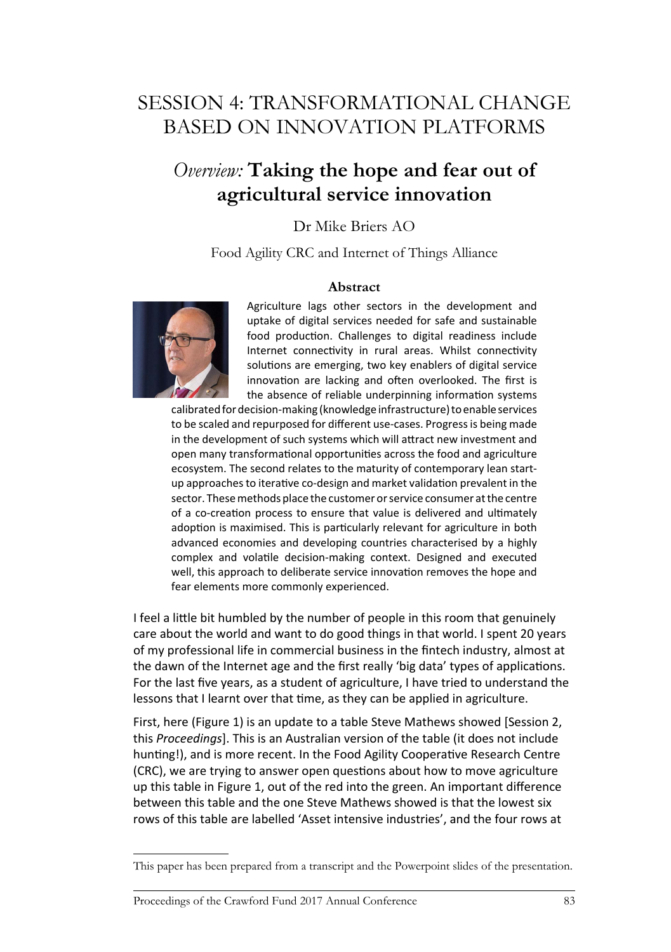# SESSION 4: TRANSFORMATIONAL CHANGE BASED ON INNOVATION PLATFORMS

## *Overview:* **Taking the hope and fear out of agricultural service innovation**

## Dr Mike Briers AO

Food Agility CRC and Internet of Things Alliance

### **Abstract**



Agriculture lags other sectors in the development and uptake of digital services needed for safe and sustainable food production. Challenges to digital readiness include Internet connectivity in rural areas. Whilst connectivity solutions are emerging, two key enablers of digital service innovation are lacking and often overlooked. The first is the absence of reliable underpinning information systems

calibrated for decision-making (knowledge infrastructure) to enable services to be scaled and repurposed for different use-cases. Progress is being made in the development of such systems which will attract new investment and open many transformational opportunities across the food and agriculture ecosystem. The second relates to the maturity of contemporary lean startup approaches to iterative co-design and market validation prevalent in the sector. These methods place the customer or service consumer at the centre of a co-creation process to ensure that value is delivered and ultimately adoption is maximised. This is particularly relevant for agriculture in both advanced economies and developing countries characterised by a highly complex and volatile decision-making context. Designed and executed well, this approach to deliberate service innovation removes the hope and fear elements more commonly experienced.

I feel a little bit humbled by the number of people in this room that genuinely care about the world and want to do good things in that world. I spent 20 years of my professional life in commercial business in the fintech industry, almost at the dawn of the Internet age and the first really 'big data' types of applications. For the last five years, as a student of agriculture, I have tried to understand the lessons that I learnt over that time, as they can be applied in agriculture.

First, here (Figure 1) is an update to a table Steve Mathews showed [Session 2, this *Proceedings*]. This is an Australian version of the table (it does not include hunting!), and is more recent. In the Food Agility Cooperative Research Centre (CRC), we are trying to answer open questions about how to move agriculture up this table in Figure 1, out of the red into the green. An important difference between this table and the one Steve Mathews showed is that the lowest six rows of this table are labelled 'Asset intensive industries', and the four rows at

This paper has been prepared from a transcript and the Powerpoint slides of the presentation.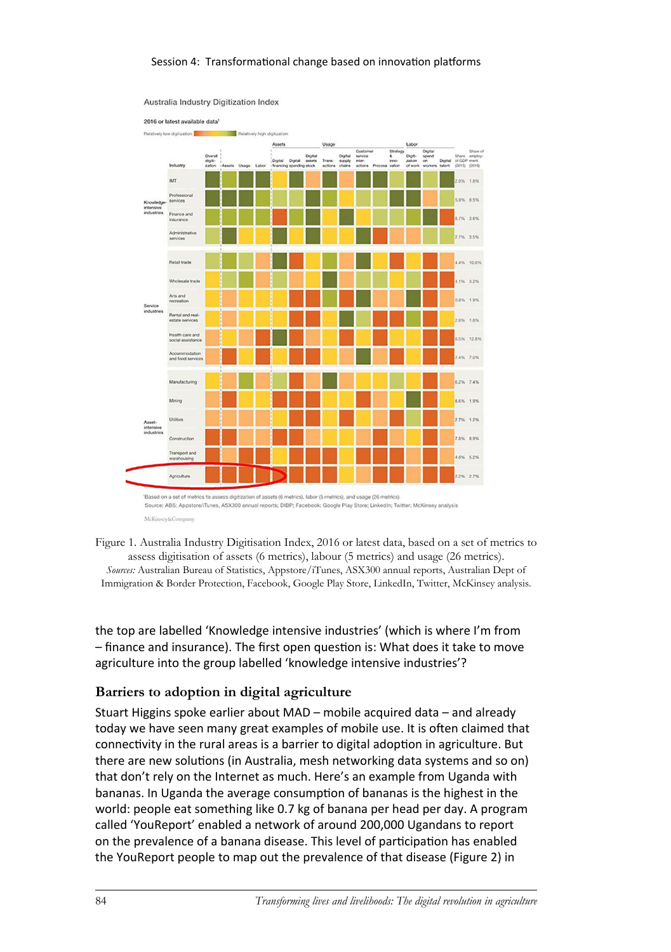#### Session 4: Transformational change based on innovation platforms



Australia Industry Digitization Index

McKinsey&Con Figure 1. Australia Industry Digitisation Index, 2016 or latest data, based on a set of metrics to

assess digitisation of assets (6 metrics), labour (5 metrics) and usage (26 metrics). *Sources:* Australian Bureau of Statistics, Appstore/iTunes, ASX300 annual reports, Australian Dept of Immigration & Border Protection, Facebook, Google Play Store, LinkedIn, Twitter, McKinsey analysis.

the top are labelled 'Knowledge intensive industries' (which is where I'm from – finance and insurance). The first open question is: What does it take to move agriculture into the group labelled 'knowledge intensive industries'?

## **Barriers to adoption in digital agriculture**

Stuart Higgins spoke earlier about MAD – mobile acquired data – and already today we have seen many great examples of mobile use. It is often claimed that connectivity in the rural areas is a barrier to digital adoption in agriculture. But there are new solutions (in Australia, mesh networking data systems and so on) that don't rely on the Internet as much. Here's an example from Uganda with bananas. In Uganda the average consumption of bananas is the highest in the world: people eat something like 0.7 kg of banana per head per day. A program called 'YouReport' enabled a network of around 200,000 Ugandans to report on the prevalence of a banana disease. This level of participation has enabled the YouReport people to map out the prevalence of that disease (Figure 2) in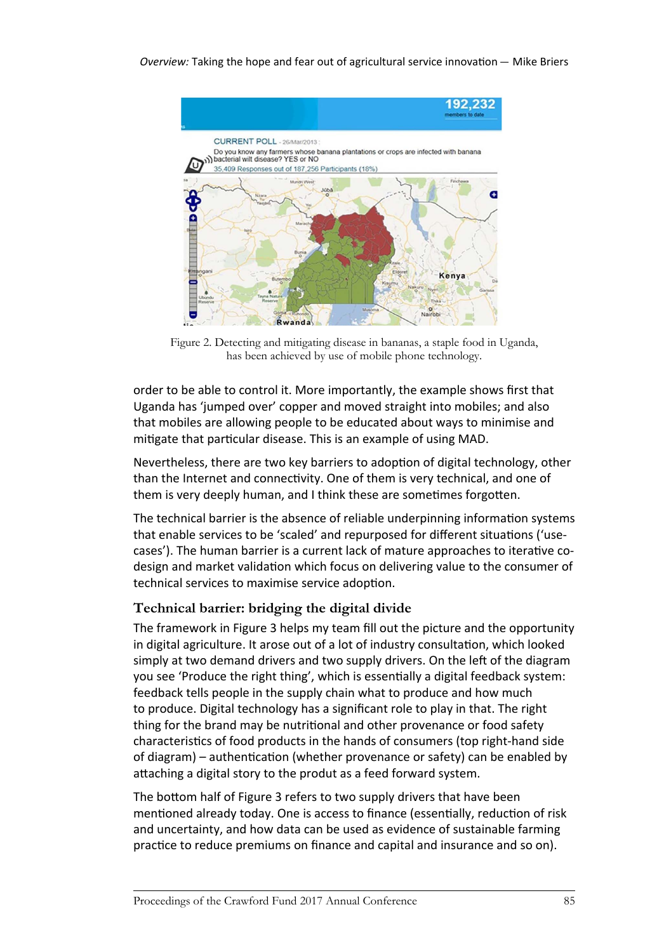

Figure 2. Detecting and mitigating disease in bananas, a staple food in Uganda, has been achieved by use of mobile phone technology.

order to be able to control it. More importantly, the example shows first that Uganda has 'jumped over' copper and moved straight into mobiles; and also that mobiles are allowing people to be educated about ways to minimise and mitigate that particular disease. This is an example of using MAD.

Nevertheless, there are two key barriers to adoption of digital technology, other than the Internet and connectivity. One of them is very technical, and one of them is very deeply human, and I think these are sometimes forgotten.

The technical barrier is the absence of reliable underpinning information systems that enable services to be 'scaled' and repurposed for different situations ('usecases'). The human barrier is a current lack of mature approaches to iterative codesign and market validation which focus on delivering value to the consumer of technical services to maximise service adoption.

## **Technical barrier: bridging the digital divide**

The framework in Figure 3 helps my team fill out the picture and the opportunity in digital agriculture. It arose out of a lot of industry consultation, which looked simply at two demand drivers and two supply drivers. On the left of the diagram you see 'Produce the right thing', which is essentially a digital feedback system: feedback tells people in the supply chain what to produce and how much to produce. Digital technology has a significant role to play in that. The right thing for the brand may be nutritional and other provenance or food safety characteristics of food products in the hands of consumers (top right-hand side of diagram) – authentication (whether provenance or safety) can be enabled by attaching a digital story to the produt as a feed forward system.

The bottom half of Figure 3 refers to two supply drivers that have been mentioned already today. One is access to finance (essentially, reduction of risk and uncertainty, and how data can be used as evidence of sustainable farming practice to reduce premiums on finance and capital and insurance and so on).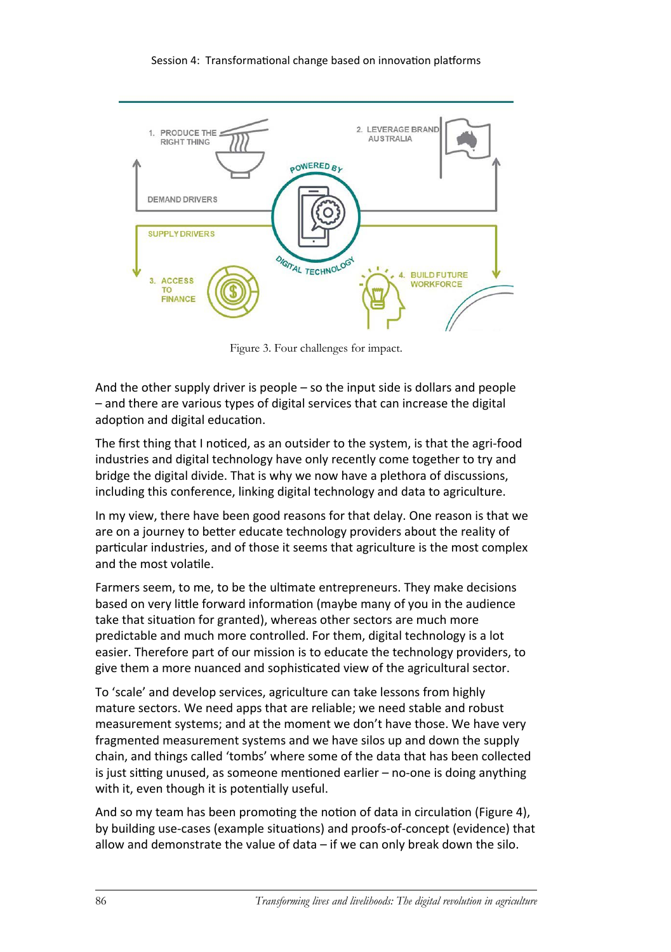#### Session 4: Transformational change based on innovation platforms



Figure 3. Four challenges for impact.

And the other supply driver is people – so the input side is dollars and people – and there are various types of digital services that can increase the digital adoption and digital education.

The first thing that I noticed, as an outsider to the system, is that the agri-food industries and digital technology have only recently come together to try and bridge the digital divide. That is why we now have a plethora of discussions, including this conference, linking digital technology and data to agriculture.

In my view, there have been good reasons for that delay. One reason is that we are on a journey to better educate technology providers about the reality of particular industries, and of those it seems that agriculture is the most complex and the most volatile.

Farmers seem, to me, to be the ultimate entrepreneurs. They make decisions based on very little forward information (maybe many of you in the audience take that situation for granted), whereas other sectors are much more predictable and much more controlled. For them, digital technology is a lot easier. Therefore part of our mission is to educate the technology providers, to give them a more nuanced and sophisticated view of the agricultural sector.

To 'scale' and develop services, agriculture can take lessons from highly mature sectors. We need apps that are reliable; we need stable and robust measurement systems; and at the moment we don't have those. We have very fragmented measurement systems and we have silos up and down the supply chain, and things called 'tombs' where some of the data that has been collected is just sitting unused, as someone mentioned earlier – no-one is doing anything with it, even though it is potentially useful.

And so my team has been promoting the notion of data in circulation (Figure 4), by building use-cases (example situations) and proofs-of-concept (evidence) that allow and demonstrate the value of data – if we can only break down the silo.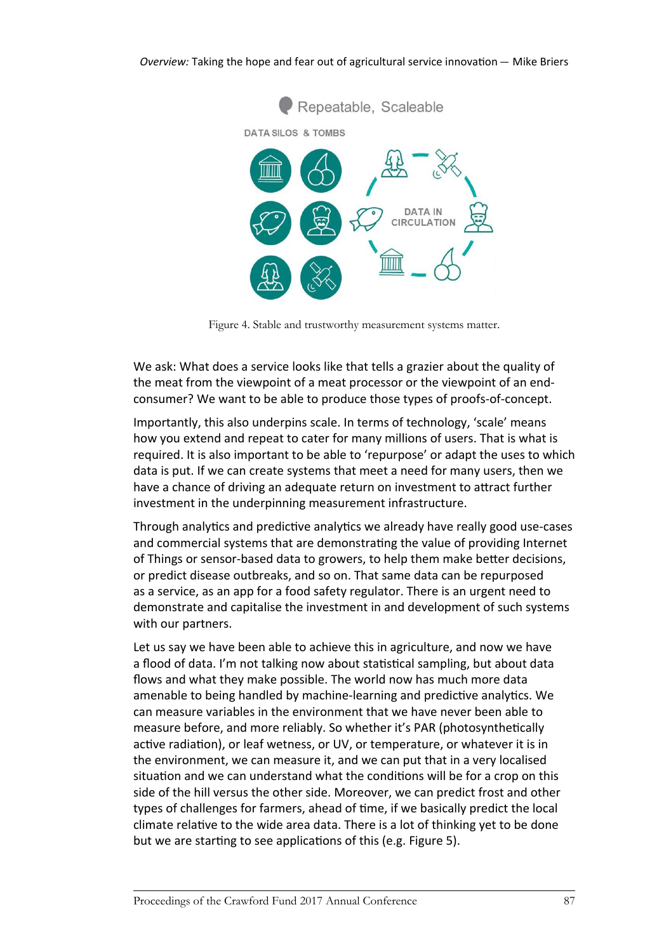

Figure 4. Stable and trustworthy measurement systems matter.

We ask: What does a service looks like that tells a grazier about the quality of the meat from the viewpoint of a meat processor or the viewpoint of an endconsumer? We want to be able to produce those types of proofs-of-concept.

Importantly, this also underpins scale. In terms of technology, 'scale' means how you extend and repeat to cater for many millions of users. That is what is required. It is also important to be able to 'repurpose' or adapt the uses to which data is put. If we can create systems that meet a need for many users, then we have a chance of driving an adequate return on investment to attract further investment in the underpinning measurement infrastructure.

Through analytics and predictive analytics we already have really good use-cases and commercial systems that are demonstrating the value of providing Internet of Things or sensor-based data to growers, to help them make better decisions, or predict disease outbreaks, and so on. That same data can be repurposed as a service, as an app for a food safety regulator. There is an urgent need to demonstrate and capitalise the investment in and development of such systems with our partners.

Let us say we have been able to achieve this in agriculture, and now we have a flood of data. I'm not talking now about statistical sampling, but about data flows and what they make possible. The world now has much more data amenable to being handled by machine-learning and predictive analytics. We can measure variables in the environment that we have never been able to measure before, and more reliably. So whether it's PAR (photosynthetically active radiation), or leaf wetness, or UV, or temperature, or whatever it is in the environment, we can measure it, and we can put that in a very localised situation and we can understand what the conditions will be for a crop on this side of the hill versus the other side. Moreover, we can predict frost and other types of challenges for farmers, ahead of time, if we basically predict the local climate relative to the wide area data. There is a lot of thinking yet to be done but we are starting to see applications of this (e.g. Figure 5).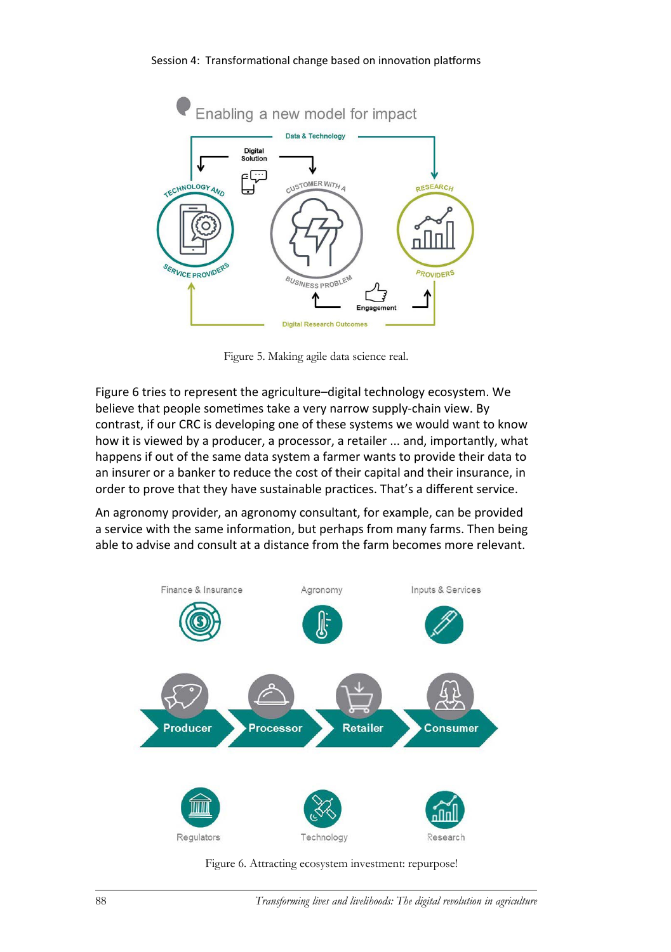

Figure 5. Making agile data science real.

Figure 6 tries to represent the agriculture–digital technology ecosystem. We believe that people sometimes take a very narrow supply-chain view. By contrast, if our CRC is developing one of these systems we would want to know how it is viewed by a producer, a processor, a retailer ... and, importantly, what happens if out of the same data system a farmer wants to provide their data to an insurer or a banker to reduce the cost of their capital and their insurance, in order to prove that they have sustainable practices. That's a different service.

An agronomy provider, an agronomy consultant, for example, can be provided a service with the same information, but perhaps from many farms. Then being able to advise and consult at a distance from the farm becomes more relevant.



Figure 6. Attracting ecosystem investment: repurpose!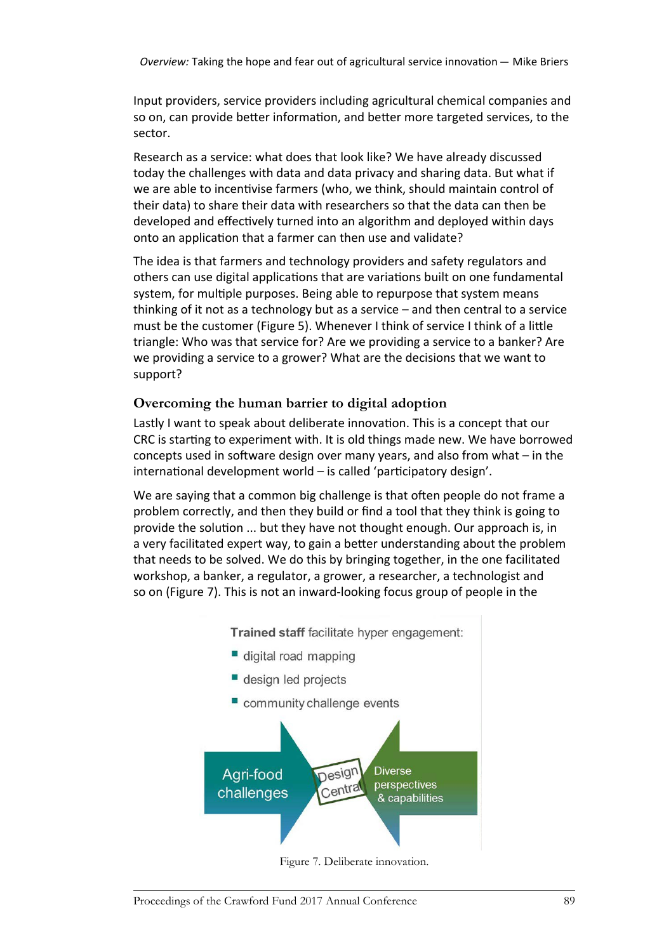Input providers, service providers including agricultural chemical companies and so on, can provide better information, and better more targeted services, to the sector.

Research as a service: what does that look like? We have already discussed today the challenges with data and data privacy and sharing data. But what if we are able to incentivise farmers (who, we think, should maintain control of their data) to share their data with researchers so that the data can then be developed and effectively turned into an algorithm and deployed within days onto an application that a farmer can then use and validate?

The idea is that farmers and technology providers and safety regulators and others can use digital applications that are variations built on one fundamental system, for multiple purposes. Being able to repurpose that system means thinking of it not as a technology but as a service – and then central to a service must be the customer (Figure 5). Whenever I think of service I think of a little triangle: Who was that service for? Are we providing a service to a banker? Are we providing a service to a grower? What are the decisions that we want to support?

## **Overcoming the human barrier to digital adoption**

Lastly I want to speak about deliberate innovation. This is a concept that our CRC is starting to experiment with. It is old things made new. We have borrowed concepts used in software design over many years, and also from what – in the international development world – is called 'participatory design'.

We are saying that a common big challenge is that often people do not frame a problem correctly, and then they build or find a tool that they think is going to provide the solution ... but they have not thought enough. Our approach is, in a very facilitated expert way, to gain a better understanding about the problem that needs to be solved. We do this by bringing together, in the one facilitated workshop, a banker, a regulator, a grower, a researcher, a technologist and so on (Figure 7). This is not an inward-looking focus group of people in the



- digital road mapping
- design led projects
- community challenge events



Figure 7. Deliberate innovation.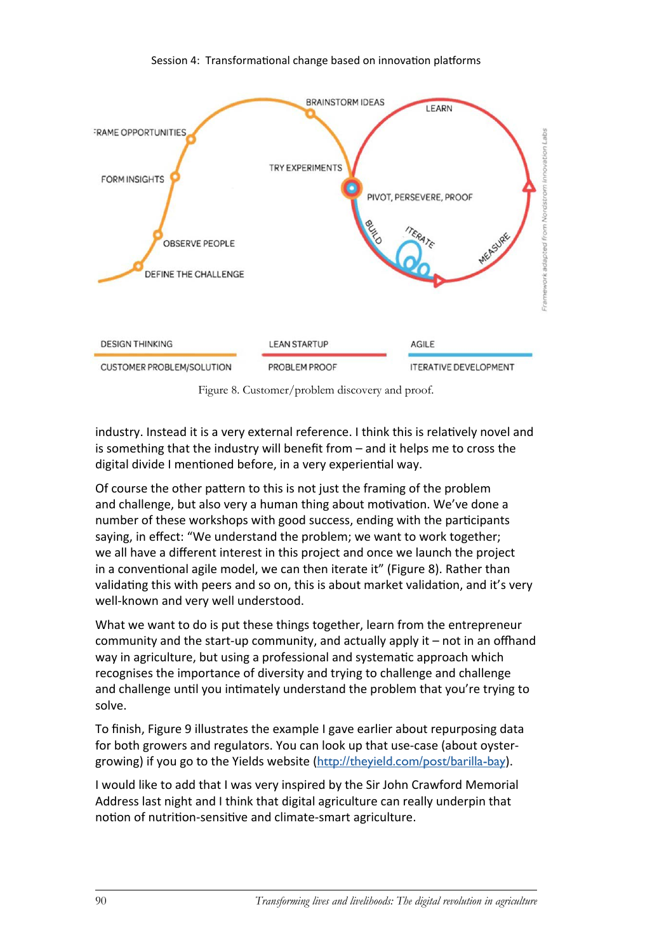#### Session 4: Transformational change based on innovation platforms



Figure 8. Customer/problem discovery and proof.

industry. Instead it is a very external reference. I think this is relatively novel and is something that the industry will benefit from – and it helps me to cross the digital divide I mentioned before, in a very experiential way.

Of course the other pattern to this is not just the framing of the problem and challenge, but also very a human thing about motivation. We've done a number of these workshops with good success, ending with the participants saying, in effect: "We understand the problem; we want to work together; we all have a different interest in this project and once we launch the project in a conventional agile model, we can then iterate it" (Figure 8). Rather than validating this with peers and so on, this is about market validation, and it's very well-known and very well understood.

What we want to do is put these things together, learn from the entrepreneur community and the start-up community, and actually apply it – not in an offhand way in agriculture, but using a professional and systematic approach which recognises the importance of diversity and trying to challenge and challenge and challenge until you intimately understand the problem that you're trying to solve.

To finish, Figure 9 illustrates the example I gave earlier about repurposing data for both growers and regulators. You can look up that use-case (about oystergrowing) if you go to the Yields website (<http://theyield.com/post/barilla-bay>).

I would like to add that I was very inspired by the Sir John Crawford Memorial Address last night and I think that digital agriculture can really underpin that notion of nutrition-sensitive and climate-smart agriculture.